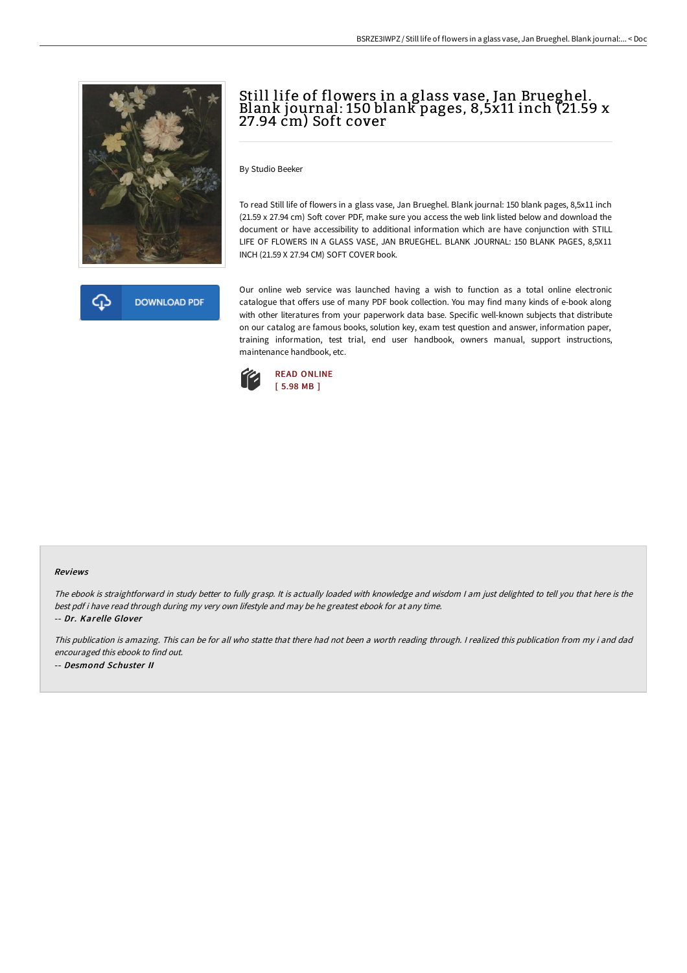

**DOWNLOAD PDF** 

# Still life of flowers in a glass vase, Jan Brueghel. Blank journal: 150 blank pages, 8,5x11 inch (21.59 x 27.94 cm) Soft cover

To read Still life of flowers in a glass vase, Jan Brueghel. Blank journal: 150 blank pages, 8,5x11 inch (21.59 x 27.94 cm) Soft cover PDF, make sure you access the web link listed below and download the document or have accessibility to additional information which are have conjunction with STILL LIFE OF FLOWERS IN A GLASS VASE, JAN BRUEGHEL. BLANK JOURNAL: 150 BLANK PAGES, 8,5X11 INCH (21.59 X 27.94 CM) SOFT COVER book.

Our online web service was launched having a wish to function as a total online electronic catalogue that offers use of many PDF book collection. You may find many kinds of e-book along with other literatures from your paperwork data base. Specific well-known subjects that distribute on our catalog are famous books, solution key, exam test question and answer, information paper, training information, test trial, end user handbook, owners manual, support instructions, maintenance handbook, etc.



By Studio Beeker

#### Reviews

The ebook is straightforward in study better to fully grasp. It is actually loaded with knowledge and wisdom <sup>I</sup> am just delighted to tell you that here is the best pdf i have read through during my very own lifestyle and may be he greatest ebook for at any time.

-- Dr. Karelle Glover

This publication is amazing. This can be for all who statte that there had not been <sup>a</sup> worth reading through. <sup>I</sup> realized this publication from my i and dad encouraged this ebook to find out. -- Desmond Schuster II